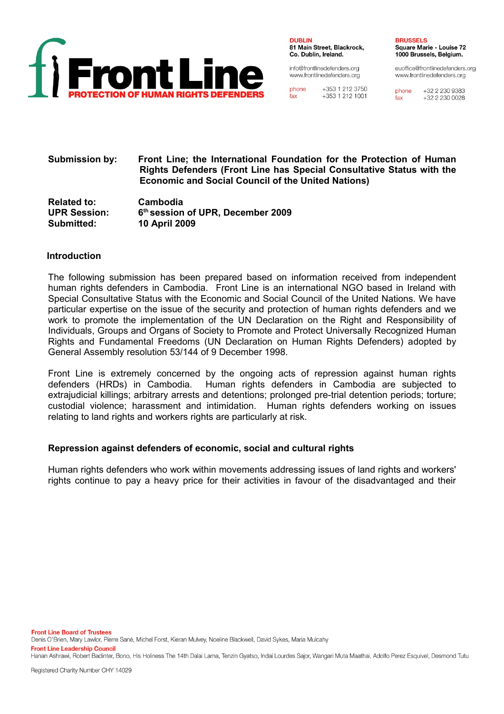

**DUBLIN** 81 Main Street, Blackrock, Co. Dublin, Ireland.

info@frontlinedefenders.org www.frontlinedefenders.org

phone +353 1 212 3750  $f_{\mathbf{A}\mathbf{X}}$ +353 1 212 1001 **BRUSSELS Square Marie - Louise 72** 1000 Brussels, Belgium.

euoffice@frontlinedefenders.org www.frontlinedefenders.org

+32 2 230 9383 phone  $+3222300028$  $fax$ 

#### **Submission by: Front Line; the International Foundation for the Protection of Human Rights Defenders (Front Line has Special Consultative Status with the Economic and Social Council of the United Nations)**

**Related to: Cambodia UPR Session: 6 th session of UPR, December 2009 Submitted: 10 April 2009**

#### **Introduction**

The following submission has been prepared based on information received from independent human rights defenders in Cambodia. Front Line is an international NGO based in Ireland with Special Consultative Status with the Economic and Social Council of the United Nations. We have particular expertise on the issue of the security and protection of human rights defenders and we work to promote the implementation of the UN Declaration on the Right and Responsibility of Individuals, Groups and Organs of Society to Promote and Protect Universally Recognized Human Rights and Fundamental Freedoms (UN Declaration on Human Rights Defenders) adopted by General Assembly resolution 53/144 of 9 December 1998.

Front Line is extremely concerned by the ongoing acts of repression against human rights defenders (HRDs) in Cambodia. Human rights defenders in Cambodia are subjected to extrajudicial killings; arbitrary arrests and detentions; prolonged pre-trial detention periods; torture; custodial violence; harassment and intimidation. Human rights defenders working on issues relating to land rights and workers rights are particularly at risk.

## **Repression against defenders of economic, social and cultural rights**

Human rights defenders who work within movements addressing issues of land rights and workers' rights continue to pay a heavy price for their activities in favour of the disadvantaged and their

Hanan Ashrawi, Robert Badinter, Bono, His Holiness The 14th Dalai Lama, Tenzin Gyatso, Indai Lourdes Sajor, Wangari Muta Maathai, Adolfo Perez Esquivel, Desmond Tutu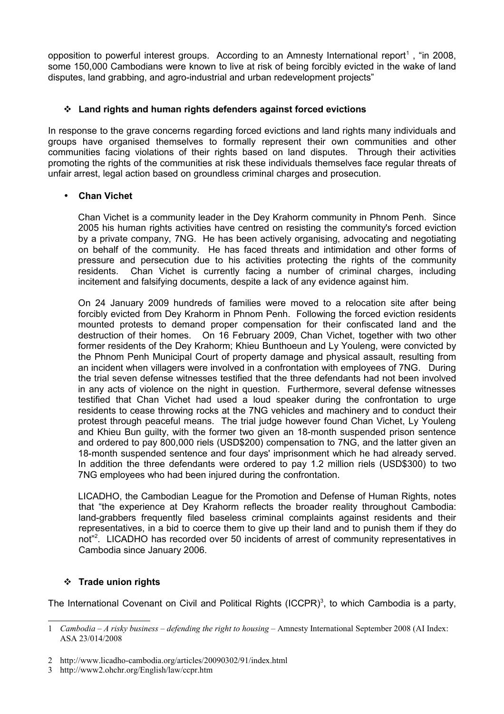opposition to powerful interest groups. According to an Amnesty International report<sup>[1](#page-1-0)</sup>, "in 2008, some 150,000 Cambodians were known to live at risk of being forcibly evicted in the wake of land disputes, land grabbing, and agro-industrial and urban redevelopment projects"

# **Land rights and human rights defenders against forced evictions**

In response to the grave concerns regarding forced evictions and land rights many individuals and groups have organised themselves to formally represent their own communities and other communities facing violations of their rights based on land disputes. Through their activities promoting the rights of the communities at risk these individuals themselves face regular threats of unfair arrest, legal action based on groundless criminal charges and prosecution.

## • **Chan Vichet**

Chan Vichet is a community leader in the Dey Krahorm community in Phnom Penh. Since 2005 his human rights activities have centred on resisting the community's forced eviction by a private company, 7NG. He has been actively organising, advocating and negotiating on behalf of the community. He has faced threats and intimidation and other forms of pressure and persecution due to his activities protecting the rights of the community residents. Chan Vichet is currently facing a number of criminal charges, including incitement and falsifying documents, despite a lack of any evidence against him.

On 24 January 2009 hundreds of families were moved to a relocation site after being forcibly evicted from Dey Krahorm in Phnom Penh. Following the forced eviction residents mounted protests to demand proper compensation for their confiscated land and the destruction of their homes. On 16 February 2009, Chan Vichet, together with two other former residents of the Dey Krahorm; Khieu Bunthoeun and Ly Youleng, were convicted by the Phnom Penh Municipal Court of property damage and physical assault, resulting from an incident when villagers were involved in a confrontation with employees of 7NG. During the trial seven defense witnesses testified that the three defendants had not been involved in any acts of violence on the night in question. Furthermore, several defense witnesses testified that Chan Vichet had used a loud speaker during the confrontation to urge residents to cease throwing rocks at the 7NG vehicles and machinery and to conduct their protest through peaceful means. The trial judge however found Chan Vichet, Ly Youleng and Khieu Bun guilty, with the former two given an 18-month suspended prison sentence and ordered to pay 800,000 riels (USD\$200) compensation to 7NG, and the latter given an 18-month suspended sentence and four days' imprisonment which he had already served. In addition the three defendants were ordered to pay 1.2 million riels (USD\$300) to two 7NG employees who had been injured during the confrontation.

LICADHO, the Cambodian League for the Promotion and Defense of Human Rights, notes that "the experience at Dey Krahorm reflects the broader reality throughout Cambodia: land-grabbers frequently filed baseless criminal complaints against residents and their representatives, in a bid to coerce them to give up their land and to punish them if they do not"<sup>[2](#page-1-1)</sup>. LICADHO has recorded over 50 incidents of arrest of community representatives in Cambodia since January 2006.

## **Trade union rights**

The International Covenant on Civil and Political Rights (ICCPR) $^3$  $^3$ , to which Cambodia is a party,

<span id="page-1-0"></span><sup>1</sup> *Cambodia* – *A risky business – defending the right to housing* – Amnesty International September 2008 (AI Index: ASA 23/014/2008

<span id="page-1-1"></span><sup>2</sup> http://www.licadho-cambodia.org/articles/20090302/91/index.html

<span id="page-1-2"></span><sup>3</sup> http://www2.ohchr.org/English/law/ccpr.htm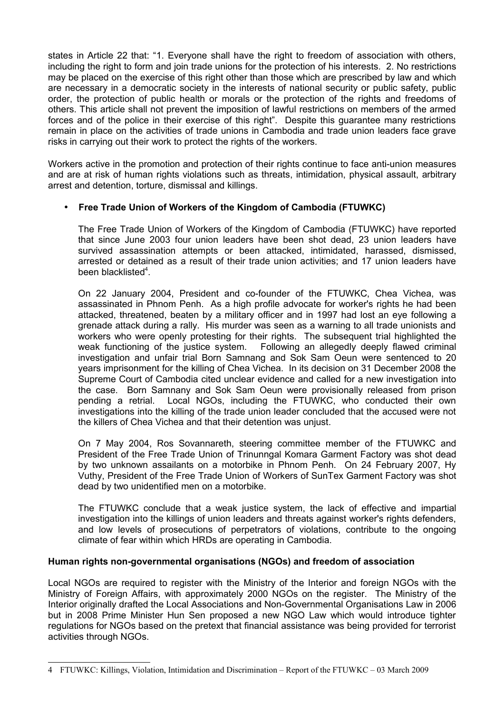states in Article 22 that: "1. Everyone shall have the right to freedom of association with others, including the right to form and join trade unions for the protection of his interests. 2. No restrictions may be placed on the exercise of this right other than those which are prescribed by law and which are necessary in a democratic society in the interests of national security or public safety, public order, the protection of public health or morals or the protection of the rights and freedoms of others. This article shall not prevent the imposition of lawful restrictions on members of the armed forces and of the police in their exercise of this right". Despite this guarantee many restrictions remain in place on the activities of trade unions in Cambodia and trade union leaders face grave risks in carrying out their work to protect the rights of the workers.

Workers active in the promotion and protection of their rights continue to face anti-union measures and are at risk of human rights violations such as threats, intimidation, physical assault, arbitrary arrest and detention, torture, dismissal and killings.

# • **Free Trade Union of Workers of the Kingdom of Cambodia (FTUWKC)**

The Free Trade Union of Workers of the Kingdom of Cambodia (FTUWKC) have reported that since June 2003 four union leaders have been shot dead, 23 union leaders have survived assassination attempts or been attacked, intimidated, harassed, dismissed, arrested or detained as a result of their trade union activities; and 17 union leaders have been blacklisted<sup>[4](#page-2-0)</sup>.

On 22 January 2004, President and co-founder of the FTUWKC, Chea Vichea, was assassinated in Phnom Penh. As a high profile advocate for worker's rights he had been attacked, threatened, beaten by a military officer and in 1997 had lost an eye following a grenade attack during a rally. His murder was seen as a warning to all trade unionists and workers who were openly protesting for their rights. The subsequent trial highlighted the weak functioning of the justice system. Following an allegedly deeply flawed criminal investigation and unfair trial Born Samnang and Sok Sam Oeun were sentenced to 20 years imprisonment for the killing of Chea Vichea. In its decision on 31 December 2008 the Supreme Court of Cambodia cited unclear evidence and called for a new investigation into the case. Born Samnany and Sok Sam Oeun were provisionally released from prison pending a retrial. Local NGOs, including the FTUWKC, who conducted their own investigations into the killing of the trade union leader concluded that the accused were not the killers of Chea Vichea and that their detention was unjust.

On 7 May 2004, Ros Sovannareth, steering committee member of the FTUWKC and President of the Free Trade Union of Trinunngal Komara Garment Factory was shot dead by two unknown assailants on a motorbike in Phnom Penh. On 24 February 2007, Hy Vuthy, President of the Free Trade Union of Workers of SunTex Garment Factory was shot dead by two unidentified men on a motorbike.

The FTUWKC conclude that a weak justice system, the lack of effective and impartial investigation into the killings of union leaders and threats against worker's rights defenders, and low levels of prosecutions of perpetrators of violations, contribute to the ongoing climate of fear within which HRDs are operating in Cambodia.

## **Human rights non-governmental organisations (NGOs) and freedom of association**

Local NGOs are required to register with the Ministry of the Interior and foreign NGOs with the Ministry of Foreign Affairs, with approximately 2000 NGOs on the register. The Ministry of the Interior originally drafted the Local Associations and Non-Governmental Organisations Law in 2006 but in 2008 Prime Minister Hun Sen proposed a new NGO Law which would introduce tighter regulations for NGOs based on the pretext that financial assistance was being provided for terrorist activities through NGOs.

<span id="page-2-0"></span><sup>4</sup> FTUWKC: Killings, Violation, Intimidation and Discrimination – Report of the FTUWKC – 03 March 2009